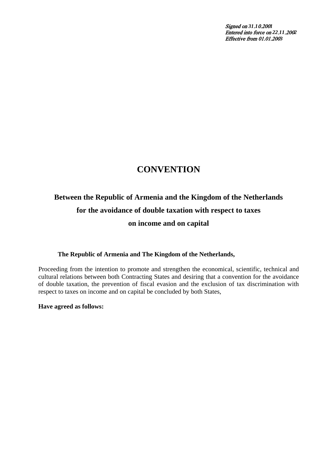Signed on *31*.*1*0.200*1*  Entered into force on *22*.*11*.200*2*  Effective from 01.01.200*3*

# **CONVENTION**

# **Between the Republic of Armenia and the Kingdom of the Netherlands for the avoidance of double taxation with respect to taxes on income and on capital**

#### **The Republic of Armenia and The Kingdom of the Netherlands,**

 Proceeding from the intention to promote and strengthen the economical, scientific, technical and cultural relations between both Contracting States and desiring that a convention for the avoidance of double taxation, the prevention of fiscal evasion and the exclusion of tax discrimination with respect to taxes on income and on capital be concluded by both States,

**Have agreed as follows:**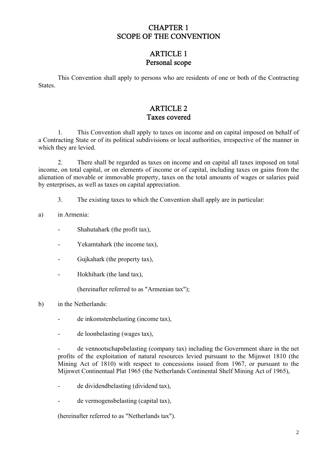# CHAPTER 1 SCOPE OF THE CONVENTION

# ARTICLE 1 Personal scope

 This Convention shall apply to persons who are residents of one or both of the Contracting States.

# ARTICLE 2 Taxes covered

 1. This Convention shall apply to taxes on income and on capital imposed on behalf of a Contracting State or of its political subdivisions or local authorities, irrespective of the manner in which they are levied.

 2. There shall be regarded as taxes on income and on capital all taxes imposed on total income, on total capital, or on elements of income or of capital, including taxes on gains from the alienation of movable or immovable property, taxes on the total amounts of wages or salaries paid by enterprises, as well as taxes on capital appreciation.

3. The existing taxes to which the Convention shall apply are in particular:

#### a) in Armenia:

- Shahutahark (the profit tax),
- Yekamtahark (the income tax),
- Gujkahark (the property tax),
- Hokhihark (the land tax),

(hereinafter referred to as "Armenian tax");

- b) in the Netherlands:
	- de inkomstenbelasting (income tax),
	- de loonbelasting (wages tax),

- de vennootschapsbelasting (company tax) including the Government share in the net profits of the exploitation of natural resources levied pursuant to the Mijnwet 1810 (the Mining Act of 1810) with respect to concessions issued from 1967, or pursuant to the Mijnwet Continentaal Plat 1965 (the Netherlands Continental Shelf Mining Act of 1965),

- de dividendbelasting (dividend tax),
- de vermogensbelasting (capital tax),

(hereinafter referred to as "Netherlands tax").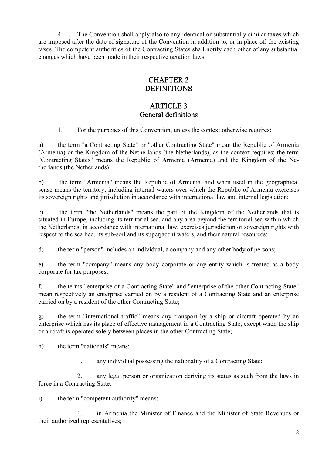4. The Convention shall apply also to any identical or substantially similar taxes which are imposed after the date of signature of the Convention in addition to, or in place of, the existing taxes. The competent authorities of the Contracting States shall notify each other of any substantial changes which have been made in their respective taxation laws.

# CHAPTER 2 DEFINITIONS

### ARTICLE 3 General definitions

1. For the purposes of this Convention, unless the context otherwise requires:

a) the term "a Contracting State" or "other Contracting State" mean the Republic of Armenia (Armenia) or the Kingdom of the Netherlands (the Netherlands), as the context requires; the term "Contracting States" means the Republic of Armenia (Armenia) and the Kingdom of the Netherlands (the Netherlands);

b) the term "Armenia" means the Republic of Armenia, and when used in the geographical sense means the territory, including internal waters over which the Republic of Armenia exercises its sovereign rights and jurisdiction in accordance with international law and internal legislation;

c) the term "the Netherlands" means the part of the Kingdom of the Netherlands that is situated in Europe, including its territorial sea, and any area beyond the territorial sea within which the Netherlands, in accordance with international law, exercises jurisdiction or sovereign rights with respect to the sea bed, its sub-soil and its superjacent waters, and their natural resources;

d) the term "person" includes an individual, a company and any other body of persons;

e) the term "company" means any body corporate or any entity which is treated as a body corporate for tax purposes;

f) the terms "enterprise of a Contracting State" and "enterprise of the other Contracting State" mean respectively an enterprise carried on by a resident of a Contracting State and an enterprise carried on by a resident of the other Contracting State;

g) the term "international traffic" means any transport by a ship or aircraft operated by an enterprise which has its place of effective management in a Contracting State, except when the ship or aircraft is operated solely between places in the other Contracting State;

h) the term "nationals" means:

1. any individual possessing the nationality of a Contracting State;

 2. any legal person or organization deriving its status as such from the laws in force in a Contracting State;

i) the term "competent authority" means:

 1. in Armenia the Minister of Finance and the Minister of State Revenues or their authorized representatives;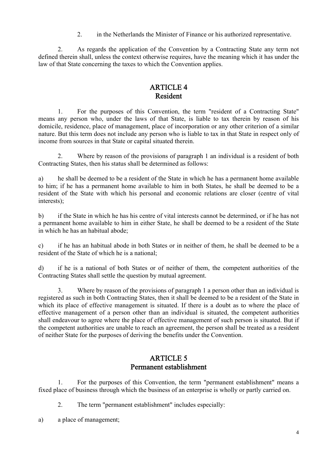2. in the Netherlands the Minister of Finance or his authorized representative.

 2. As regards the application of the Convention by a Contracting State any term not defined therein shall, unless the context otherwise requires, have the meaning which it has under the law of that State concerning the taxes to which the Convention applies.

# ARTICLE 4 Resident

 1. For the purposes of this Convention, the term "resident of a Contracting State" means any person who, under the laws of that State, is liable to tax therein by reason of his domicile, residence, place of management, place of incorporation or any other criterion of a similar nature. But this term does not include any person who is liable to tax in that State in respect only of income from sources in that State or capital situated therein.

 2. Where by reason of the provisions of paragraph 1 an individual is a resident of both Contracting States, then his status shall be determined as follows:

a) he shall be deemed to be a resident of the State in which he has a permanent home available to him; if he has a permanent home available to him in both States, he shall be deemed to be a resident of the State with which his personal and economic relations are closer (centre of vital interests);

b) if the State in which he has his centre of vital interests cannot be determined, or if he has not a permanent home available to him in either State, he shall be deemed to be a resident of the State in which he has an habitual abode;

c) if he has an habitual abode in both States or in neither of them, he shall be deemed to be a resident of the State of which he is a national;

d) if he is a national of both States or of neither of them, the competent authorities of the Contracting States shall settle the question by mutual agreement.

 3. Where by reason of the provisions of paragraph 1 a person other than an individual is registered as such in both Contracting States, then it shall be deemed to be a resident of the State in which its place of effective management is situated. If there is a doubt as to where the place of effective management of a person other than an individual is situated, the competent authorities shall endeavour to agree where the place of effective management of such person is situated. But if the competent authorities are unable to reach an agreement, the person shall be treated as a resident of neither State for the purposes of deriving the benefits under the Convention.

# ARTICLE<sub>5</sub> Permanent establishment

 1. For the purposes of this Convention, the term "permanent establishment" means a fixed place of business through which the business of an enterprise is wholly or partly carried on.

- 2. The term "permanent establishment" includes especially:
- a) a place of management;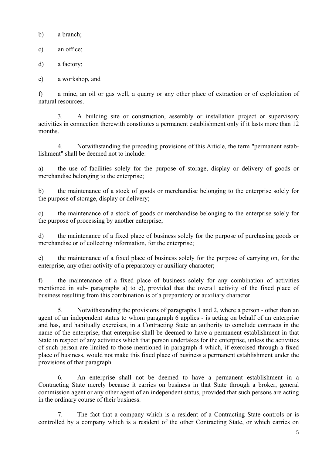b) a branch;

- c) an office;
- d) a factory;

e) a workshop, and

f) a mine, an oil or gas well, a quarry or any other place of extraction or of exploitation of natural resources.

 3. A building site or construction, assembly or installation project or supervisory activities in connection therewith constitutes a permanent establishment only if it lasts more than 12 months.

 4. Notwithstanding the preceding provisions of this Article, the term "permanent establishment" shall be deemed not to include:

a) the use of facilities solely for the purpose of storage, display or delivery of goods or merchandise belonging to the enterprise;

b) the maintenance of a stock of goods or merchandise belonging to the enterprise solely for the purpose of storage, display or delivery;

c) the maintenance of a stock of goods or merchandise belonging to the enterprise solely for the purpose of processing by another enterprise;

d) the maintenance of a fixed place of business solely for the purpose of purchasing goods or merchandise or of collecting information, for the enterprise;

e) the maintenance of a fixed place of business solely for the purpose of carrying on, for the enterprise, any other activity of a preparatory or auxiliary character;

f) the maintenance of a fixed place of business solely for any combination of activities mentioned in sub- paragraphs a) to e), provided that the overall activity of the fixed place of business resulting from this combination is of a preparatory or auxiliary character.

 5. Notwithstanding the provisions of paragraphs 1 and 2, where a person - other than an agent of an independent status to whom paragraph 6 applies - is acting on behalf of an enterprise and has, and habitually exercises, in a Contracting State an authority to conclude contracts in the name of the enterprise, that enterprise shall be deemed to have a permanent establishment in that State in respect of any activities which that person undertakes for the enterprise, unless the activities of such person are limited to those mentioned in paragraph 4 which, if exercised through a fixed place of business, would not make this fixed place of business a permanent establishment under the provisions of that paragraph.

 6. An enterprise shall not be deemed to have a permanent establishment in a Contracting State merely because it carries on business in that State through a broker, general commission agent or any other agent of an independent status, provided that such persons are acting in the ordinary course of their business.

 7. The fact that a company which is a resident of a Contracting State controls or is controlled by a company which is a resident of the other Contracting State, or which carries on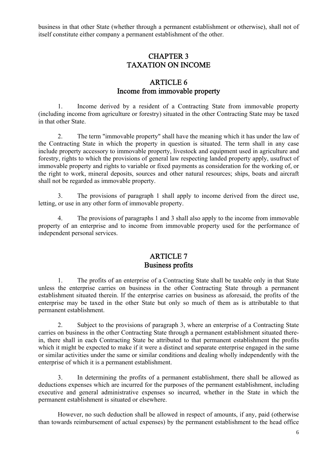business in that other State (whether through a permanent establishment or otherwise), shall not of itself constitute either company a permanent establishment of the other.

# CHAPTER 3 TAXATION ON INCOME

# ARTICLE 6 Income from immovable property

 1. Income derived by a resident of a Contracting State from immovable property (including income from agriculture or forestry) situated in the other Contracting State may be taxed in that other State.

 2. The term "immovable property" shall have the meaning which it has under the law of the Contracting State in which the property in question is situated. The term shall in any case include property accessory to immovable property, livestock and equipment used in agriculture and forestry, rights to which the provisions of general law respecting landed property apply, usufruct of immovable property and rights to variable or fixed payments as consideration for the working of, or the right to work, mineral deposits, sources and other natural resources; ships, boats and aircraft shall not be regarded as immovable property.

 3. The provisions of paragraph 1 shall apply to income derived from the direct use, letting, or use in any other form of immovable property.

 4. The provisions of paragraphs 1 and 3 shall also apply to the income from immovable property of an enterprise and to income from immovable property used for the performance of independent personal services.

# ARTICLE 7 Business profits

 1. The profits of an enterprise of a Contracting State shall be taxable only in that State unless the enterprise carries on business in the other Contracting State through a permanent establishment situated therein. If the enterprise carries on business as aforesaid, the profits of the enterprise may be taxed in the other State but only so much of them as is attributable to that permanent establishment.

 2. Subject to the provisions of paragraph 3, where an enterprise of a Contracting State carries on business in the other Contracting State through a permanent establishment situated therein, there shall in each Contracting State be attributed to that permanent establishment the profits which it might be expected to make if it were a distinct and separate enterprise engaged in the same or similar activities under the same or similar conditions and dealing wholly independently with the enterprise of which it is a permanent establishment.

 3. In determining the profits of a permanent establishment, there shall be allowed as deductions expenses which are incurred for the purposes of the permanent establishment, including executive and general administrative expenses so incurred, whether in the State in which the permanent establishment is situated or elsewhere.

 However, no such deduction shall be allowed in respect of amounts, if any, paid (otherwise than towards reimbursement of actual expenses) by the permanent establishment to the head office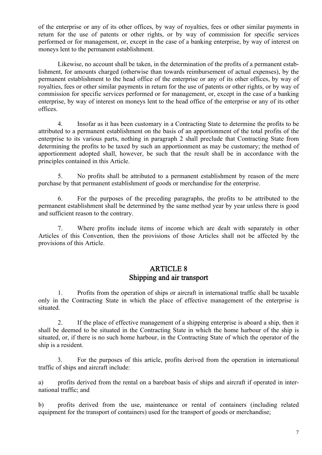of the enterprise or any of its other offices, by way of royalties, fees or other similar payments in return for the use of patents or other rights, or by way of commission for specific services performed or for management, or, except in the case of a banking enterprise, by way of interest on moneys lent to the permanent establishment.

 Likewise, no account shall be taken, in the determination of the profits of a permanent establishment, for amounts charged (otherwise than towards reimbursement of actual expenses), by the permanent establishment to the head office of the enterprise or any of its other offices, by way of royalties, fees or other similar payments in return for the use of patents or other rights, or by way of commission for specific services performed or for management, or, except in the case of a banking enterprise, by way of interest on moneys lent to the head office of the enterprise or any of its other offices.

 4. Insofar as it has been customary in a Contracting State to determine the profits to be attributed to a permanent establishment on the basis of an apportionment of the total profits of the enterprise to its various parts, nothing in paragraph 2 shall preclude that Contracting State from determining the profits to be taxed by such an apportionment as may be customary; the method of apportionment adopted shall, however, be such that the result shall be in accordance with the principles contained in this Article.

 5. No profits shall be attributed to a permanent establishment by reason of the mere purchase by that permanent establishment of goods or merchandise for the enterprise.

 6. For the purposes of the preceding paragraphs, the profits to be attributed to the permanent establishment shall be determined by the same method year by year unless there is good and sufficient reason to the contrary.

 7. Where profits include items of income which are dealt with separately in other Articles of this Convention, then the provisions of those Articles shall not be affected by the provisions of this Article.

#### ARTICLE 8 Shipping and air transport

 1. Profits from the operation of ships or aircraft in international traffic shall be taxable only in the Contracting State in which the place of effective management of the enterprise is situated.

 2. If the place of effective management of a shipping enterprise is aboard a ship, then it shall be deemed to be situated in the Contracting State in which the home harbour of the ship is situated, or, if there is no such home harbour, in the Contracting State of which the operator of the ship is a resident.

3. For the purposes of this article, profits derived from the operation in international traffic of ships and aircraft include:

a) profits derived from the rental on a bareboat basis of ships and aircraft if operated in international traffic; and

b) profits derived from the use, maintenance or rental of containers (including related equipment for the transport of containers) used for the transport of goods or merchandise;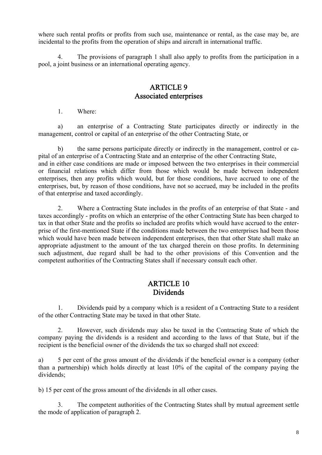where such rental profits or profits from such use, maintenance or rental, as the case may be, are incidental to the profits from the operation of ships and aircraft in international traffic.

 4. The provisions of paragraph 1 shall also apply to profits from the participation in a pool, a joint business or an international operating agency.

#### ARTICLE 9 Associated enterprises

1. Where:

 a) an enterprise of a Contracting State participates directly or indirectly in the management, control or capital of an enterprise of the other Contracting State, or

 b) the same persons participate directly or indirectly in the management, control or capital of an enterprise of a Contracting State and an enterprise of the other Contracting State, and in either case conditions are made or imposed between the two enterprises in their commercial or financial relations which differ from those which would be made between independent enterprises, then any profits which would, but for those conditions, have accrued to one of the enterprises, but, by reason of those conditions, have not so accrued, may be included in the profits of that enterprise and taxed accordingly.

 2. Where a Contracting State includes in the profits of an enterprise of that State - and taxes accordingly - profits on which an enterprise of the other Contracting State has been charged to tax in that other State and the profits so included are profits which would have accrued to the enterprise of the first-mentioned State if the conditions made between the two enterprises had been those which would have been made between independent enterprises, then that other State shall make an appropriate adjustment to the amount of the tax charged therein on those profits. In determining such adjustment, due regard shall be had to the other provisions of this Convention and the competent authorities of the Contracting States shall if necessary consult each other.

# ARTICLE 10 Dividends

 1. Dividends paid by a company which is a resident of a Contracting State to a resident of the other Contracting State may be taxed in that other State.

 2. However, such dividends may also be taxed in the Contracting State of which the company paying the dividends is a resident and according to the laws of that State, but if the recipient is the beneficial owner of the dividends the tax so charged shall not exceed:

a) 5 per cent of the gross amount of the dividends if the beneficial owner is a company (other than a partnership) which holds directly at least 10% of the capital of the company paying the dividends;

b) 15 per cent of the gross amount of the dividends in all other cases.

 3. The competent authorities of the Contracting States shall by mutual agreement settle the mode of application of paragraph 2.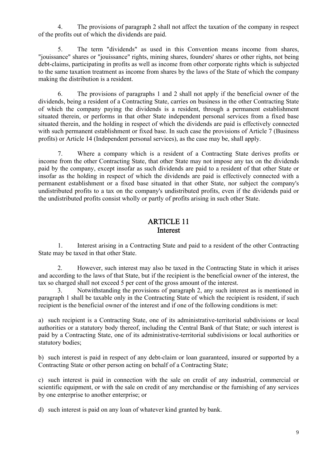4. The provisions of paragraph 2 shall not affect the taxation of the company in respect of the profits out of which the dividends are paid.

 5. The term "dividends" as used in this Convention means income from shares, "jouissance" shares or "jouissance" rights, mining shares, founders' shares or other rights, not being debt-claims, participating in profits as well as income from other corporate rights which is subjected to the same taxation treatment as income from shares by the laws of the State of which the company making the distribution is a resident.

 6. The provisions of paragraphs 1 and 2 shall not apply if the beneficial owner of the dividends, being a resident of a Contracting State, carries on business in the other Contracting State of which the company paying the dividends is a resident, through a permanent establishment situated therein, or performs in that other State independent personal services from a fixed base situated therein, and the holding in respect of which the dividends are paid is effectively connected with such permanent establishment or fixed base. In such case the provisions of Article 7 (Business profits) or Article 14 (Independent personal services), as the case may be, shall apply.

 7. Where a company which is a resident of a Contracting State derives profits or income from the other Contracting State, that other State may not impose any tax on the dividends paid by the company, except insofar as such dividends are paid to a resident of that other State or insofar as the holding in respect of which the dividends are paid is effectively connected with a permanent establishment or a fixed base situated in that other State, nor subject the company's undistributed profits to a tax on the company's undistributed profits, even if the dividends paid or the undistributed profits consist wholly or partly of profits arising in such other State.

# ARTICLE 11 Interest

 1. Interest arising in a Contracting State and paid to a resident of the other Contracting State may be taxed in that other State.

2. However, such interest may also be taxed in the Contracting State in which it arises and according to the laws of that State, but if the recipient is the beneficial owner of the interest, the tax so charged shall not exceed 5 per cent of the gross amount of the interest.

3. Notwithstanding the provisions of paragraph 2, any such interest as is mentioned in paragraph 1 shall be taxable only in the Contracting State of which the recipient is resident, if such recipient is the beneficial owner of the interest and if one of the following conditions is met:

a) such recipient is a Contracting State, one of its administrative-territorial subdivisions or local authorities or a statutory body thereof, including the Central Bank of that State; or such interest is paid by a Contracting State, one of its administrative-territorial subdivisions or local authorities or statutory bodies;

b) such interest is paid in respect of any debt-claim or loan guaranteed, insured or supported by a Contracting State or other person acting on behalf of a Contracting State;

c) such interest is paid in connection with the sale on credit of any industrial, commercial or scientific equipment, or with the sale on credit of any merchandise or the furnishing of any services by one enterprise to another enterprise; or

d) such interest is paid on any loan of whatever kind granted by bank.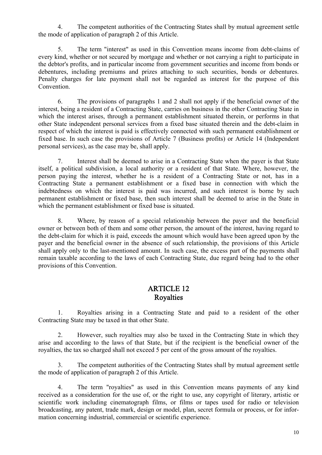4. The competent authorities of the Contracting States shall by mutual agreement settle the mode of application of paragraph 2 of this Article.

 5. The term "interest" as used in this Convention means income from debt-claims of every kind, whether or not secured by mortgage and whether or not carrying a right to participate in the debtor's profits, and in particular income from government securities and income from bonds or debentures, including premiums and prizes attaching to such securities, bonds or debentures. Penalty charges for late payment shall not be regarded as interest for the purpose of this Convention.

 6. The provisions of paragraphs 1 and 2 shall not apply if the beneficial owner of the interest, being a resident of a Contracting State, carries on business in the other Contracting State in which the interest arises, through a permanent establishment situated therein, or performs in that other State independent personal services from a fixed base situated therein and the debt-claim in respect of which the interest is paid is effectively connected with such permanent establishment or fixed base. In such case the provisions of Article 7 (Business profits) or Article 14 (Independent personal services), as the case may be, shall apply.

 7. Interest shall be deemed to arise in a Contracting State when the payer is that State itself, a political subdivision, a local authority or a resident of that State. Where, however, the person paying the interest, whether he is a resident of a Contracting State or not, has in a Contracting State a permanent establishment or a fixed base in connection with which the indebtedness on which the interest is paid was incurred, and such interest is borne by such permanent establishment or fixed base, then such interest shall be deemed to arise in the State in which the permanent establishment or fixed base is situated.

 8. Where, by reason of a special relationship between the payer and the beneficial owner or between both of them and some other person, the amount of the interest, having regard to the debt-claim for which it is paid, exceeds the amount which would have been agreed upon by the payer and the beneficial owner in the absence of such relationship, the provisions of this Article shall apply only to the last-mentioned amount. In such case, the excess part of the payments shall remain taxable according to the laws of each Contracting State, due regard being had to the other provisions of this Convention.

# ARTICLE 12 Royalties

 1. Royalties arising in a Contracting State and paid to a resident of the other Contracting State may be taxed in that other State.

 2. However, such royalties may also be taxed in the Contracting State in which they arise and according to the laws of that State, but if the recipient is the beneficial owner of the royalties, the tax so charged shall not exceed 5 per cent of the gross amount of the royalties.

 3. The competent authorities of the Contracting States shall by mutual agreement settle the mode of application of paragraph 2 of this Article.

 4. The term "royalties" as used in this Convention means payments of any kind received as a consideration for the use of, or the right to use, any copyright of literary, artistic or scientific work including cinematograph films, or films or tapes used for radio or television broadcasting, any patent, trade mark, design or model, plan, secret formula or process, or for information concerning industrial, commercial or scientific experience.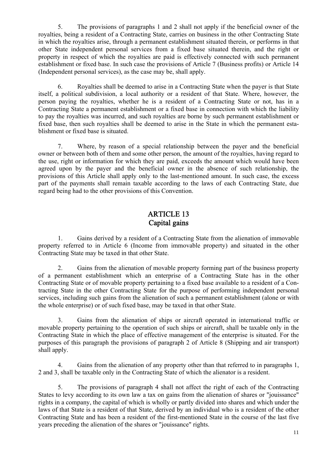5. The provisions of paragraphs 1 and 2 shall not apply if the beneficial owner of the royalties, being a resident of a Contracting State, carries on business in the other Contracting State in which the royalties arise, through a permanent establishment situated therein, or performs in that other State independent personal services from a fixed base situated therein, and the right or property in respect of which the royalties are paid is effectively connected with such permanent establishment or fixed base. In such case the provisions of Article 7 (Business profits) or Article 14 (Independent personal services), as the case may be, shall apply.

 6. Royalties shall be deemed to arise in a Contracting State when the payer is that State itself, a political subdivision, a local authority or a resident of that State. Where, however, the person paying the royalties, whether he is a resident of a Contracting State or not, has in a Contracting State a permanent establishment or a fixed base in connection with which the liability to pay the royalties was incurred, and such royalties are borne by such permanent establishment or fixed base, then such royalties shall be deemed to arise in the State in which the permanent establishment or fixed base is situated.

 7. Where, by reason of a special relationship between the payer and the beneficial owner or between both of them and some other person, the amount of the royalties, having regard to the use, right or information for which they are paid, exceeds the amount which would have been agreed upon by the payer and the beneficial owner in the absence of such relationship, the provisions of this Article shall apply only to the last-mentioned amount. In such case, the excess part of the payments shall remain taxable according to the laws of each Contracting State, due regard being had to the other provisions of this Convention.

# ARTICLE 13 Capital gains

 1. Gains derived by a resident of a Contracting State from the alienation of immovable property referred to in Article 6 (Income from immovable property) and situated in the other Contracting State may be taxed in that other State.

 2. Gains from the alienation of movable property forming part of the business property of a permanent establishment which an enterprise of a Contracting State has in the other Contracting State or of movable property pertaining to a fixed base available to a resident of a Contracting State in the other Contracting State for the purpose of performing independent personal services, including such gains from the alienation of such a permanent establishment (alone or with the whole enterprise) or of such fixed base, may be taxed in that other State.

 3. Gains from the alienation of ships or aircraft operated in international traffic or movable property pertaining to the operation of such ships or aircraft, shall be taxable only in the Contracting State in which the place of effective management of the enterprise is situated. For the purposes of this paragraph the provisions of paragraph 2 of Article 8 (Shipping and air transport) shall apply.

 4. Gains from the alienation of any property other than that referred to in paragraphs 1, 2 and 3, shall be taxable only in the Contracting State of which the alienator is a resident.

 5. The provisions of paragraph 4 shall not affect the right of each of the Contracting States to levy according to its own law a tax on gains from the alienation of shares or "jouissance" rights in a company, the capital of which is wholly or partly divided into shares and which under the laws of that State is a resident of that State, derived by an individual who is a resident of the other Contracting State and has been a resident of the first-mentioned State in the course of the last five years preceding the alienation of the shares or "jouissance" rights.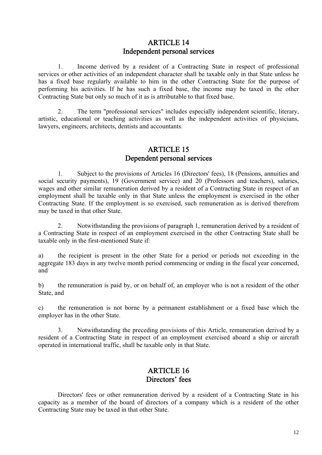### ARTICLE 14 Independent personal services

 1. Income derived by a resident of a Contracting State in respect of professional services or other activities of an independent character shall be taxable only in that State unless he has a fixed base regularly available to him in the other Contracting State for the purpose of performing his activities. If he has such a fixed base, the income may be taxed in the other Contracting State but only so much of it as is attributable to that fixed base.

 2. The term "professional services" includes especially independent scientific, literary, artistic, educational or teaching activities as well as the independent activities of physicians, lawyers, engineers, architects, dentists and accountants.

# ARTICLE 15 Dependent personal services

 1. Subject to the provisions of Articles 16 (Directors' fees), 18 (Pensions, annuities and social security payments), 19 (Government service) and 20 (Professors and teachers), salaries, wages and other similar remuneration derived by a resident of a Contracting State in respect of an employment shall be taxable only in that State unless the employment is exercised in the other Contracting State. If the employment is so exercised, such remuneration as is derived therefrom may be taxed in that other State.

 2. Notwithstanding the provisions of paragraph 1, remuneration derived by a resident of a Contracting State in respect of an employment exercised in the other Contracting State shall be taxable only in the first-mentioned State if:

a) the recipient is present in the other State for a period or periods not exceeding in the aggregate 183 days in any twelve month period commencing or ending in the fiscal year concerned, and

b) the remuneration is paid by, or on behalf of, an employer who is not a resident of the other State, and

c) the remuneration is not borne by a permanent establishment or a fixed base which the employer has in the other State.

 3. Notwithstanding the preceding provisions of this Article, remuneration derived by a resident of a Contracting State in respect of an employment exercised aboard a ship or aircraft operated in international traffic, shall be taxable only in that State.

# ARTICLE 16 Directors' fees

 Directors' fees or other remuneration derived by a resident of a Contracting State in his capacity as a member of the board of directors of a company which is a resident of the other Contracting State may be taxed in that other State.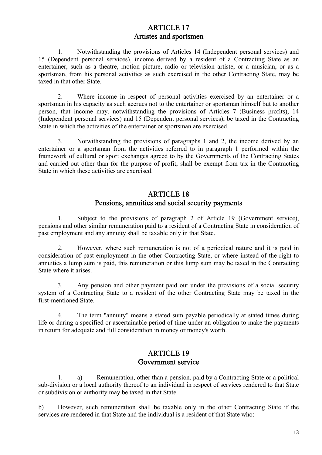### ARTICLE 17 Artistes and sportsmen

 1. Notwithstanding the provisions of Articles 14 (Independent personal services) and 15 (Dependent personal services), income derived by a resident of a Contracting State as an entertainer, such as a theatre, motion picture, radio or television artiste, or a musician, or as a sportsman, from his personal activities as such exercised in the other Contracting State, may be taxed in that other State.

 2. Where income in respect of personal activities exercised by an entertainer or a sportsman in his capacity as such accrues not to the entertainer or sportsman himself but to another person, that income may, notwithstanding the provisions of Articles 7 (Business profits), 14 (Independent personal services) and 15 (Dependent personal services), be taxed in the Contracting State in which the activities of the entertainer or sportsman are exercised.

 3. Notwithstanding the provisions of paragraphs 1 and 2, the income derived by an entertainer or a sportsman from the activities referred to in paragraph 1 performed within the framework of cultural or sport exchanges agreed to by the Governments of the Contracting States and carried out other than for the purpose of profit, shall be exempt from tax in the Contracting State in which these activities are exercised.

### ARTICLE 18 Pensions, annuities and social security payments

 1. Subject to the provisions of paragraph 2 of Article 19 (Government service), pensions and other similar remuneration paid to a resident of a Contracting State in consideration of past employment and any annuity shall be taxable only in that State.

 2. However, where such remuneration is not of a periodical nature and it is paid in consideration of past employment in the other Contracting State, or where instead of the right to annuities a lump sum is paid, this remuneration or this lump sum may be taxed in the Contracting State where it arises.

 3. Any pension and other payment paid out under the provisions of a social security system of a Contracting State to a resident of the other Contracting State may be taxed in the first-mentioned State.

 4. The term "annuity" means a stated sum payable periodically at stated times during life or during a specified or ascertainable period of time under an obligation to make the payments in return for adequate and full consideration in money or money's worth.

#### ARTICLE 19 Government service

 1. a) Remuneration, other than a pension, paid by a Contracting State or a political sub-division or a local authority thereof to an individual in respect of services rendered to that State or subdivision or authority may be taxed in that State.

b) However, such remuneration shall be taxable only in the other Contracting State if the services are rendered in that State and the individual is a resident of that State who: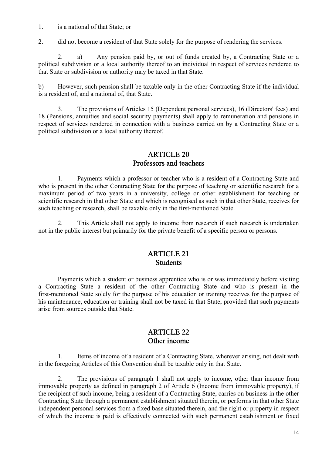1. is a national of that State; or

2. did not become a resident of that State solely for the purpose of rendering the services.

 2. a) Any pension paid by, or out of funds created by, a Contracting State or a political subdivision or a local authority thereof to an individual in respect of services rendered to that State or subdivision or authority may be taxed in that State.

b) However, such pension shall be taxable only in the other Contracting State if the individual is a resident of, and a national of, that State.

 3. The provisions of Articles 15 (Dependent personal services), 16 (Directors' fees) and 18 (Pensions, annuities and social security payments) shall apply to remuneration and pensions in respect of services rendered in connection with a business carried on by a Contracting State or a political subdivision or a local authority thereof.

### ARTICLE 20 Professors and teachers

 1. Payments which a professor or teacher who is a resident of a Contracting State and who is present in the other Contracting State for the purpose of teaching or scientific research for a maximum period of two years in a university, college or other establishment for teaching or scientific research in that other State and which is recognised as such in that other State, receives for such teaching or research, shall be taxable only in the first-mentioned State.

 2. This Article shall not apply to income from research if such research is undertaken not in the public interest but primarily for the private benefit of a specific person or persons.

### ARTICLE 21 Students

 Payments which a student or business apprentice who is or was immediately before visiting a Contracting State a resident of the other Contracting State and who is present in the first-mentioned State solely for the purpose of his education or training receives for the purpose of his maintenance, education or training shall not be taxed in that State, provided that such payments arise from sources outside that State.

#### ARTICLE 22 Other income

 1. Items of income of a resident of a Contracting State, wherever arising, not dealt with in the foregoing Articles of this Convention shall be taxable only in that State.

 2. The provisions of paragraph 1 shall not apply to income, other than income from immovable property as defined in paragraph 2 of Article 6 (Income from immovable property), if the recipient of such income, being a resident of a Contracting State, carries on business in the other Contracting State through a permanent establishment situated therein, or performs in that other State independent personal services from a fixed base situated therein, and the right or property in respect of which the income is paid is effectively connected with such permanent establishment or fixed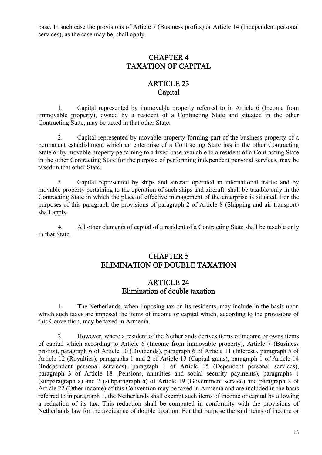base. In such case the provisions of Article 7 (Business profits) or Article 14 (Independent personal services), as the case may be, shall apply.

# CHAPTER 4 TAXATION OF CAPITAL

# ARTICLE 23 **Capital**

 1. Capital represented by immovable property referred to in Article 6 (Income from immovable property), owned by a resident of a Contracting State and situated in the other Contracting State, may be taxed in that other State.

 2. Capital represented by movable property forming part of the business property of a permanent establishment which an enterprise of a Contracting State has in the other Contracting State or by movable property pertaining to a fixed base available to a resident of a Contracting State in the other Contracting State for the purpose of performing independent personal services, may be taxed in that other State.

 3. Capital represented by ships and aircraft operated in international traffic and by movable property pertaining to the operation of such ships and aircraft, shall be taxable only in the Contracting State in which the place of effective management of the enterprise is situated. For the purposes of this paragraph the provisions of paragraph 2 of Article 8 (Shipping and air transport) shall apply.

 4. All other elements of capital of a resident of a Contracting State shall be taxable only in that State.

# CHAPTER 5 ELIMINATION OF DOUBLE TAXATION

#### ARTICLE 24 Elimination of double taxation

 1. The Netherlands, when imposing tax on its residents, may include in the basis upon which such taxes are imposed the items of income or capital which, according to the provisions of this Convention, may be taxed in Armenia.

 2. However, where a resident of the Netherlands derives items of income or owns items of capital which according to Article 6 (Income from immovable property), Article 7 (Business profits), paragraph 6 of Article 10 (Dividends), paragraph 6 of Article 11 (Interest), paragraph 5 of Article 12 (Royalties), paragraphs 1 and 2 of Article 13 (Capital gains), paragraph 1 of Article 14 (Independent personal services), paragraph 1 of Article 15 (Dependent personal services), paragraph 3 of Article 18 (Pensions, annuities and social security payments), paragraphs 1 (subparagraph a) and 2 (subparagraph a) of Article 19 (Government service) and paragraph 2 of Article 22 (Other income) of this Convention may be taxed in Armenia and are included in the basis referred to in paragraph 1, the Netherlands shall exempt such items of income or capital by allowing a reduction of its tax. This reduction shall be computed in conformity with the provisions of Netherlands law for the avoidance of double taxation. For that purpose the said items of income or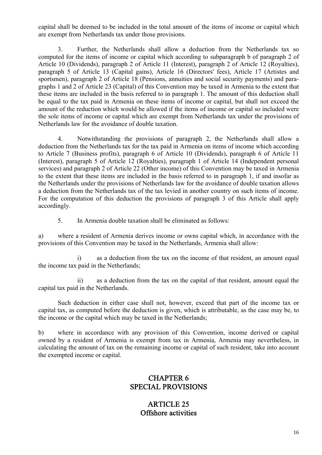capital shall be deemed to be included in the total amount of the items of income or capital which are exempt from Netherlands tax under those provisions.

 3. Further, the Netherlands shall allow a deduction from the Netherlands tax so computed for the items of income or capital which according to subparagraph b of paragraph 2 of Article 10 (Dividends), paragraph 2 of Article 11 (Interest), paragraph 2 of Article 12 (Royalties), paragraph 5 of Article 13 (Capital gains), Article 16 (Directors' fees), Article 17 (Artistes and sportsmen), paragraph 2 of Article 18 (Pensions, annuities and social security payments) and paragraphs 1 and 2 of Article 23 (Capital) of this Convention may be taxed in Armenia to the extent that these items are included in the basis referred to in paragraph 1. The amount of this deduction shall be equal to the tax paid in Armenia on these items of income or capital, but shall not exceed the amount of the reduction which would be allowed if the items of income or capital so included were the sole items of income or capital which are exempt from Netherlands tax under the provisions of Netherlands law for the avoidance of double taxation.

 4. Notwithstanding the provisions of paragraph 2, the Netherlands shall allow a deduction from the Netherlands tax for the tax paid in Armenia on items of income which according to Article 7 (Business profits), paragraph 6 of Article 10 (Dividends), paragraph 6 of Article 11 (Interest), paragraph 5 of Article 12 (Royalties), paragraph 1 of Article 14 (Independent personal services) and paragraph 2 of Article 22 (Other income) of this Convention may be taxed in Armenia to the extent that these items are included in the basis referred to in paragraph 1, if and insofar as the Netherlands under the provisions of Netherlands law for the avoidance of double taxation allows a deduction from the Netherlands tax of the tax levied in another country on such items of income. For the computation of this deduction the provisions of paragraph 3 of this Article shall apply accordingly.

5. In Armenia double taxation shall be eliminated as follows:

a) where a resident of Armenia derives income or owns capital which, in accordance with the provisions of this Convention may be taxed in the Netherlands, Armenia shall allow:

 i) as a deduction from the tax on the income of that resident, an amount equal the income tax paid in the Netherlands;

 ii) as a deduction from the tax on the capital of that resident, amount equal the capital tax paid in the Netherlands.

 Such deduction in either case shall not, however, exceed that part of the income tax or capital tax, as computed before the deduction is given, which is attributable, as the case may be, to the income or the capital which may be taxed in the Netherlands;

b) where in accordance with any provision of this Convention, income derived or capital owned by a resident of Armenia is exempt from tax in Armenia, Armenia may nevertheless, in calculating the amount of tax on the remaining income or capital of such resident, take into account the exempted income or capital.

# CHAPTER 6 SPECIAL PROVISIONS

# ARTICLE 25 Offshore activities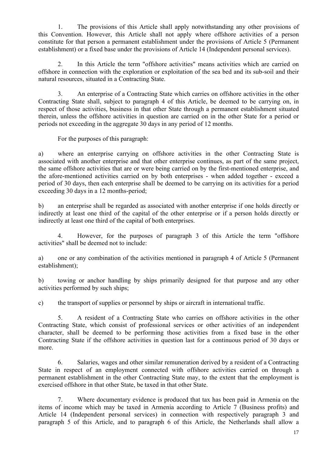1. The provisions of this Article shall apply notwithstanding any other provisions of this Convention. However, this Article shall not apply where offshore activities of a person constitute for that person a permanent establishment under the provisions of Article 5 (Permanent establishment) or a fixed base under the provisions of Article 14 (Independent personal services).

 2. In this Article the term "offshore activities" means activities which are carried on offshore in connection with the exploration or exploitation of the sea bed and its sub-soil and their natural resources, situated in a Contracting State.

 3. An enterprise of a Contracting State which carries on offshore activities in the other Contracting State shall, subject to paragraph 4 of this Article, be deemed to be carrying on, in respect of those activities, business in that other State through a permanent establishment situated therein, unless the offshore activities in question are carried on in the other State for a period or periods not exceeding in the aggregate 30 days in any period of 12 months.

For the purposes of this paragraph:

a) where an enterprise carrying on offshore activities in the other Contracting State is associated with another enterprise and that other enterprise continues, as part of the same project, the same offshore activities that are or were being carried on by the first-mentioned enterprise, and the afore-mentioned activities carried on by both enterprises - when added together - exceed a period of 30 days, then each enterprise shall be deemed to be carrying on its activities for a period exceeding 30 days in a 12 months-period;

b) an enterprise shall be regarded as associated with another enterprise if one holds directly or indirectly at least one third of the capital of the other enterprise or if a person holds directly or indirectly at least one third of the capital of both enterprises.

 4. However, for the purposes of paragraph 3 of this Article the term "offshore activities" shall be deemed not to include:

a) one or any combination of the activities mentioned in paragraph 4 of Article 5 (Permanent establishment);

b) towing or anchor handling by ships primarily designed for that purpose and any other activities performed by such ships;

c) the transport of supplies or personnel by ships or aircraft in international traffic.

 5. A resident of a Contracting State who carries on offshore activities in the other Contracting State, which consist of professional services or other activities of an independent character, shall be deemed to be performing those activities from a fixed base in the other Contracting State if the offshore activities in question last for a continuous period of 30 days or more.

 6. Salaries, wages and other similar remuneration derived by a resident of a Contracting State in respect of an employment connected with offshore activities carried on through a permanent establishment in the other Contracting State may, to the extent that the employment is exercised offshore in that other State, be taxed in that other State.

 7. Where documentary evidence is produced that tax has been paid in Armenia on the items of income which may be taxed in Armenia according to Article 7 (Business profits) and Article 14 (Independent personal services) in connection with respectively paragraph 3 and paragraph 5 of this Article, and to paragraph 6 of this Article, the Netherlands shall allow a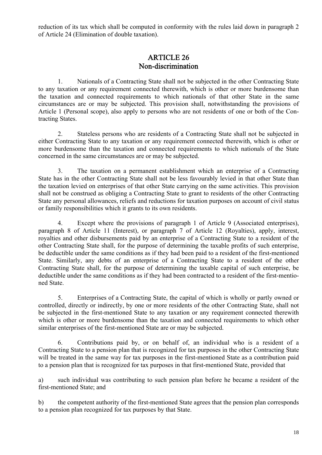reduction of its tax which shall be computed in conformity with the rules laid down in paragraph 2 of Article 24 (Elimination of double taxation).

### ARTICLE 26 Non-discrimination

 1. Nationals of a Contracting State shall not be subjected in the other Contracting State to any taxation or any requirement connected therewith, which is other or more burdensome than the taxation and connected requirements to which nationals of that other State in the same circumstances are or may be subjected. This provision shall, notwithstanding the provisions of Article 1 (Personal scope), also apply to persons who are not residents of one or both of the Contracting States.

 2. Stateless persons who are residents of a Contracting State shall not be subjected in either Contracting State to any taxation or any requirement connected therewith, which is other or more burdensome than the taxation and connected requirements to which nationals of the State concerned in the same circumstances are or may be subjected.

 3. The taxation on a permanent establishment which an enterprise of a Contracting State has in the other Contracting State shall not be less favourably levied in that other State than the taxation levied on enterprises of that other State carrying on the same activities. This provision shall not be construed as obliging a Contracting State to grant to residents of the other Contracting State any personal allowances, reliefs and reductions for taxation purposes on account of civil status or family responsibilities which it grants to its own residents.

 4. Except where the provisions of paragraph 1 of Article 9 (Associated enterprises), paragraph 8 of Article 11 (Interest), or paragraph 7 of Article 12 (Royalties), apply, interest, royalties and other disbursements paid by an enterprise of a Contracting State to a resident of the other Contracting State shall, for the purpose of determining the taxable profits of such enterprise, be deductible under the same conditions as if they had been paid to a resident of the first-mentioned State. Similarly, any debts of an enterprise of a Contracting State to a resident of the other Contracting State shall, for the purpose of determining the taxable capital of such enterprise, be deductible under the same conditions as if they had been contracted to a resident of the first-mentioned State.

 5. Enterprises of a Contracting State, the capital of which is wholly or partly owned or controlled, directly or indirectly, by one or more residents of the other Contracting State, shall not be subjected in the first-mentioned State to any taxation or any requirement connected therewith which is other or more burdensome than the taxation and connected requirements to which other similar enterprises of the first-mentioned State are or may be subjected.

 6. Contributions paid by, or on behalf of, an individual who is a resident of a Contracting State to a pension plan that is recognized for tax purposes in the other Contracting State will be treated in the same way for tax purposes in the first-mentioned State as a contribution paid to a pension plan that is recognized for tax purposes in that first-mentioned State, provided that

a) such individual was contributing to such pension plan before he became a resident of the first-mentioned State; and

b) the competent authority of the first-mentioned State agrees that the pension plan corresponds to a pension plan recognized for tax purposes by that State.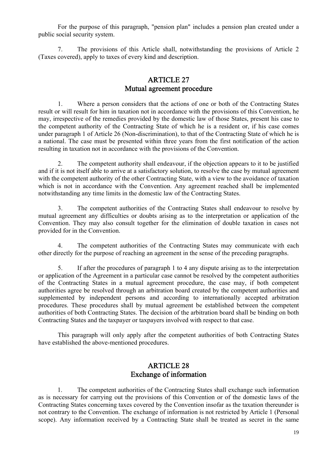For the purpose of this paragraph, "pension plan" includes a pension plan created under a public social security system.

 7. The provisions of this Article shall, notwithstanding the provisions of Article 2 (Taxes covered), apply to taxes of every kind and description.

### ARTICLE 27 Mutual agreement procedure

 1. Where a person considers that the actions of one or both of the Contracting States result or will result for him in taxation not in accordance with the provisions of this Convention, he may, irrespective of the remedies provided by the domestic law of those States, present his case to the competent authority of the Contracting State of which he is a resident or, if his case comes under paragraph 1 of Article 26 (Non-discrimination), to that of the Contracting State of which he is a national. The case must be presented within three years from the first notification of the action resulting in taxation not in accordance with the provisions of the Convention.

 2. The competent authority shall endeavour, if the objection appears to it to be justified and if it is not itself able to arrive at a satisfactory solution, to resolve the case by mutual agreement with the competent authority of the other Contracting State, with a view to the avoidance of taxation which is not in accordance with the Convention. Any agreement reached shall be implemented notwithstanding any time limits in the domestic law of the Contracting States.

 3. The competent authorities of the Contracting States shall endeavour to resolve by mutual agreement any difficulties or doubts arising as to the interpretation or application of the Convention. They may also consult together for the elimination of double taxation in cases not provided for in the Convention.

 4. The competent authorities of the Contracting States may communicate with each other directly for the purpose of reaching an agreement in the sense of the preceding paragraphs.

 5. If after the procedures of paragraph 1 to 4 any dispute arising as to the interpretation or application of the Agreement in a particular case cannot be resolved by the competent authorities of the Contracting States in a mutual agreement procedure, the case may, if both competent authorities agree be resolved through an arbitration board created by the competent authorities and supplemented by independent persons and according to internationally accepted arbitration procedures. These procedures shall by mutual agreement be established between the competent authorities of both Contracting States. The decision of the arbitration board shall be binding on both Contracting States and the taxpayer or taxpayers involved with respect to that case.

 This paragraph will only apply after the competent authorities of both Contracting States have established the above-mentioned procedures.

### ARTICLE 28 Exchange of information

1. The competent authorities of the Contracting States shall exchange such information as is necessary for carrying out the provisions of this Convention or of the domestic laws of the Contracting States concerning taxes covered by the Convention insofar as the taxation thereunder is not contrary to the Convention. The exchange of information is not restricted by Article 1 (Personal scope). Any information received by a Contracting State shall be treated as secret in the same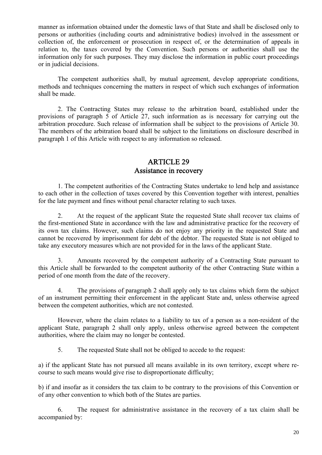manner as information obtained under the domestic laws of that State and shall be disclosed only to persons or authorities (including courts and administrative bodies) involved in the assessment or collection of, the enforcement or prosecution in respect of, or the determination of appeals in relation to, the taxes covered by the Convention. Such persons or authorities shall use the information only for such purposes. They may disclose the information in public court proceedings or in judicial decisions.

 The competent authorities shall, by mutual agreement, develop appropriate conditions, methods and techniques concerning the matters in respect of which such exchanges of information shall be made.

 2. The Contracting States may release to the arbitration board, established under the provisions of paragraph 5 of Article 27, such information as is necessary for carrying out the arbitration procedure. Such release of information shall be subject to the provisions of Article 30. The members of the arbitration board shall be subject to the limitations on disclosure described in paragraph 1 of this Article with respect to any information so released.

### ARTICLE 29 Assistance in recovery

 1. The competent authorities of the Contracting States undertake to lend help and assistance to each other in the collection of taxes covered by this Convention together with interest, penalties for the late payment and fines without penal character relating to such taxes.

 2. At the request of the applicant State the requested State shall recover tax claims of the first-mentioned State in accordance with the law and administrative practice for the recovery of its own tax claims. However, such claims do not enjoy any priority in the requested State and cannot be recovered by imprisonment for debt of the debtor. The requested State is not obliged to take any executory measures which are not provided for in the laws of the applicant State.

 3. Amounts recovered by the competent authority of a Contracting State pursuant to this Article shall be forwarded to the competent authority of the other Contracting State within a period of one month from the date of the recovery.

 4. The provisions of paragraph 2 shall apply only to tax claims which form the subject of an instrument permitting their enforcement in the applicant State and, unless otherwise agreed between the competent authorities, which are not contested.

 However, where the claim relates to a liability to tax of a person as a non-resident of the applicant State, paragraph 2 shall only apply, unless otherwise agreed between the competent authorities, where the claim may no longer be contested.

5. The requested State shall not be obliged to accede to the request:

a) if the applicant State has not pursued all means available in its own territory, except where recourse to such means would give rise to disproportionate difficulty;

b) if and insofar as it considers the tax claim to be contrary to the provisions of this Convention or of any other convention to which both of the States are parties.

 6. The request for administrative assistance in the recovery of a tax claim shall be accompanied by: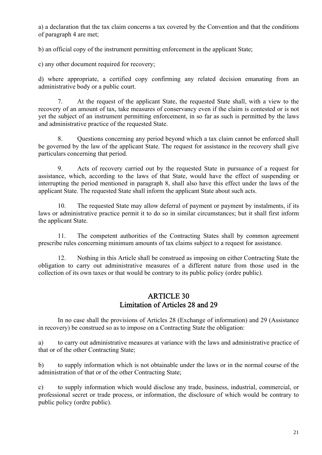a) a declaration that the tax claim concerns a tax covered by the Convention and that the conditions of paragraph 4 are met;

b) an official copy of the instrument permitting enforcement in the applicant State;

c) any other document required for recovery;

d) where appropriate, a certified copy confirming any related decision emanating from an administrative body or a public court.

 7. At the request of the applicant State, the requested State shall, with a view to the recovery of an amount of tax, take measures of conservancy even if the claim is contested or is not yet the subject of an instrument permitting enforcement, in so far as such is permitted by the laws and administrative practice of the requested State.

 8. Questions concerning any period beyond which a tax claim cannot be enforced shall be governed by the law of the applicant State. The request for assistance in the recovery shall give particulars concerning that period.

 9. Acts of recovery carried out by the requested State in pursuance of a request for assistance, which, according to the laws of that State, would have the effect of suspending or interrupting the period mentioned in paragraph 8, shall also have this effect under the laws of the applicant State. The requested State shall inform the applicant State about such acts.

 10. The requested State may allow deferral of payment or payment by instalments, if its laws or administrative practice permit it to do so in similar circumstances; but it shall first inform the applicant State.

 11. The competent authorities of the Contracting States shall by common agreement prescribe rules concerning minimum amounts of tax claims subject to a request for assistance.

 12. Nothing in this Article shall be construed as imposing on either Contracting State the obligation to carry out administrative measures of a different nature from those used in the collection of its own taxes or that would be contrary to its public policy (ordre public).

# ARTICLE 30 Limitation of Articles 28 and 29

 In no case shall the provisions of Articles 28 (Exchange of information) and 29 (Assistance in recovery) be construed so as to impose on a Contracting State the obligation:

a) to carry out administrative measures at variance with the laws and administrative practice of that or of the other Contracting State;

b) to supply information which is not obtainable under the laws or in the normal course of the administration of that or of the other Contracting State;

c) to supply information which would disclose any trade, business, industrial, commercial, or professional secret or trade process, or information, the disclosure of which would be contrary to public policy (ordre public).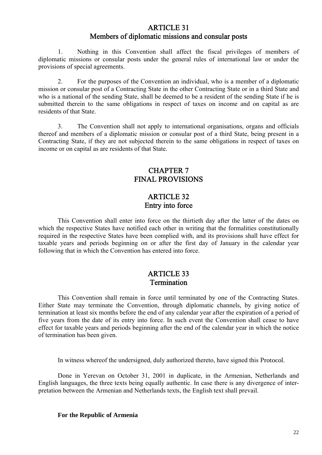### ARTICLE 31 Members of diplomatic missions and consular posts

 1. Nothing in this Convention shall affect the fiscal privileges of members of diplomatic missions or consular posts under the general rules of international law or under the provisions of special agreements.

 2. For the purposes of the Convention an individual, who is a member of a diplomatic mission or consular post of a Contracting State in the other Contracting State or in a third State and who is a national of the sending State, shall be deemed to be a resident of the sending State if he is submitted therein to the same obligations in respect of taxes on income and on capital as are residents of that State.

 3. The Convention shall not apply to international organisations, organs and officials thereof and members of a diplomatic mission or consular post of a third State, being present in a Contracting State, if they are not subjected therein to the same obligations in respect of taxes on income or on capital as are residents of that State.

# CHAPTER 7 FINAL PROVISIONS

# ARTICLE 32 Entry into force

 This Convention shall enter into force on the thirtieth day after the latter of the dates on which the respective States have notified each other in writing that the formalities constitutionally required in the respective States have been complied with, and its provisions shall have effect for taxable years and periods beginning on or after the first day of January in the calendar year following that in which the Convention has entered into force.

# ARTICLE 33 **Termination**

 This Convention shall remain in force until terminated by one of the Contracting States. Either State may terminate the Convention, through diplomatic channels, by giving notice of termination at least six months before the end of any calendar year after the expiration of a period of five years from the date of its entry into force. In such event the Convention shall cease to have effect for taxable years and periods beginning after the end of the calendar year in which the notice of termination has been given.

In witness whereof the undersigned, duly authorized thereto, have signed this Protocol.

 Done in Yerevan on October 31, 2001 in duplicate, in the Armenian, Netherlands and English languages, the three texts being equally authentic. In case there is any divergence of interpretation between the Armenian and Netherlands texts, the English text shall prevail.

#### **For the Republic of Armenia**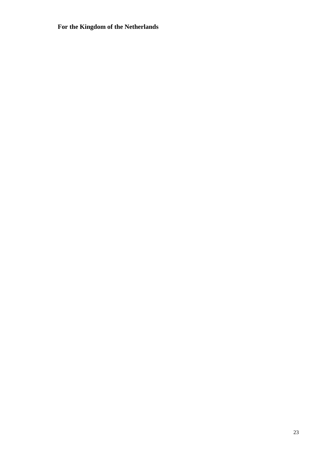**For the Kingdom of the Netherlands**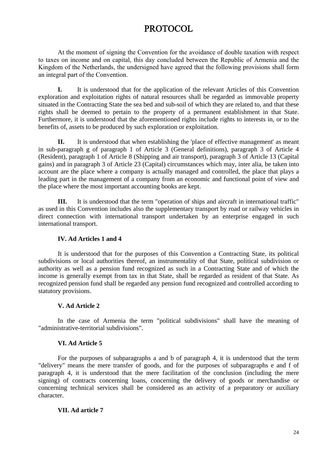# PROTOCOL

 At the moment of signing the Convention for the avoidance of double taxation with respect to taxes on income and on capital, this day concluded between the Republic of Armenia and the Kingdom of the Netherlands, the undersigned have agreed that the following provisions shall form an integral part of the Convention.

**I.** It is understood that for the application of the relevant Articles of this Convention exploration and exploitation rights of natural resources shall be regarded as immovable property situated in the Contracting State the sea bed and sub-soil of which they are related to, and that these rights shall be deemed to pertain to the property of a permanent establishment in that State. Furthermore, it is understood that the aforementioned rights include rights to interests in, or to the benefits of, assets to be produced by such exploration or exploitation.

**II.** It is understood that when establishing the 'place of effective management' as meant in sub-paragraph g of paragraph 1 of Article 3 (General definitions), paragraph 3 of Article 4 (Resident), paragraph 1 of Article 8 (Shipping and air transport), paragraph 3 of Article 13 (Capital gains) and in paragraph 3 of Article 23 (Capital) circumstances which may, inter alia, be taken into account are the place where a company is actually managed and controlled, the place that plays a leading part in the management of a company from an economic and functional point of view and the place where the most important accounting books are kept.

**III.** It is understood that the term "operation of ships and aircraft in international traffic" as used in this Convention includes also the supplementary transport by road or railway vehicles in direct connection with international transport undertaken by an enterprise engaged in such international transport.

#### **IV. Ad Articles 1 and 4**

 It is understood that for the purposes of this Convention a Contracting State, its political subdivisions or local authorities thereof, an instrumentality of that State, political subdivision or authority as well as a pension fund recognized as such in a Contracting State and of which the income is generally exempt from tax in that State, shall be regarded as resident of that State. As recognized pension fund shall be regarded any pension fund recognized and controlled according to statutory provisions.

#### **V. Ad Article 2**

 In the case of Armenia the term "political subdivisions" shall have the meaning of "administrative-territorial subdivisions".

#### **VI. Ad Article 5**

 For the purposes of subparagraphs a and b of paragraph 4, it is understood that the term "delivery" means the mere transfer of goods, and for the purposes of subparagraphs e and f of paragraph 4, it is understood that the mere facilitation of the conclusion (including the mere signing) of contracts concerning loans, concerning the delivery of goods or merchandise or concerning technical services shall be considered as an activity of a preparatory or auxiliary character.

#### **VII. Ad article 7**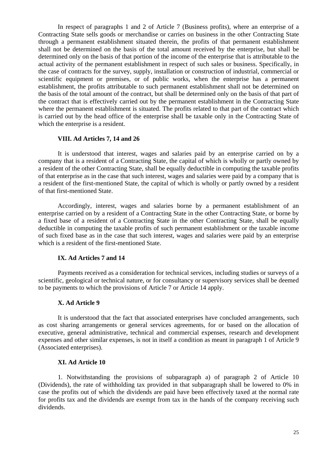In respect of paragraphs 1 and 2 of Article 7 (Business profits), where an enterprise of a Contracting State sells goods or merchandise or carries on business in the other Contracting State through a permanent establishment situated therein, the profits of that permanent establishment shall not be determined on the basis of the total amount received by the enterprise, but shall be determined only on the basis of that portion of the income of the enterprise that is attributable to the actual activity of the permanent establishment in respect of such sales or business. Specifically, in the case of contracts for the survey, supply, installation or construction of industrial, commercial or scientific equipment or premises, or of public works, when the enterprise has a permanent establishment, the profits attributable to such permanent establishment shall not be determined on the basis of the total amount of the contract, but shall be determined only on the basis of that part of the contract that is effectively carried out by the permanent establishment in the Contracting State where the permanent establishment is situated. The profits related to that part of the contract which is carried out by the head office of the enterprise shall be taxable only in the Contracting State of which the enterprise is a resident.

#### **VIII. Ad Articles 7, 14 and 26**

 It is understood that interest, wages and salaries paid by an enterprise carried on by a company that is a resident of a Contracting State, the capital of which is wholly or partly owned by a resident of the other Contracting State, shall be equally deductible in computing the taxable profits of that enterprise as in the case that such interest, wages and salaries were paid by a company that is a resident of the first-mentioned State, the capital of which is wholly or partly owned by a resident of that first-mentioned State.

 Accordingly, interest, wages and salaries borne by a permanent establishment of an enterprise carried on by a resident of a Contracting State in the other Contracting State, or borne by a fixed base of a resident of a Contracting State in the other Contracting State, shall be equally deductible in computing the taxable profits of such permanent establishment or the taxable income of such fixed base as in the case that such interest, wages and salaries were paid by an enterprise which is a resident of the first-mentioned State.

#### **IX. Ad Articles 7 and 14**

 Payments received as a consideration for technical services, including studies or surveys of a scientific, geological or technical nature, or for consultancy or supervisory services shall be deemed to be payments to which the provisions of Article 7 or Article 14 apply.

#### **X. Ad Article 9**

 It is understood that the fact that associated enterprises have concluded arrangements, such as cost sharing arrangements or general services agreements, for or based on the allocation of executive, general administrative, technical and commercial expenses, research and development expenses and other similar expenses, is not in itself a condition as meant in paragraph 1 of Article 9 (Associated enterprises).

#### **XI. Ad Article 10**

 1. Notwithstanding the provisions of subparagraph a) of paragraph 2 of Article 10 (Dividends), the rate of withholding tax provided in that subparagraph shall be lowered to 0% in case the profits out of which the dividends are paid have been effectively taxed at the normal rate for profits tax and the dividends are exempt from tax in the hands of the company receiving such dividends.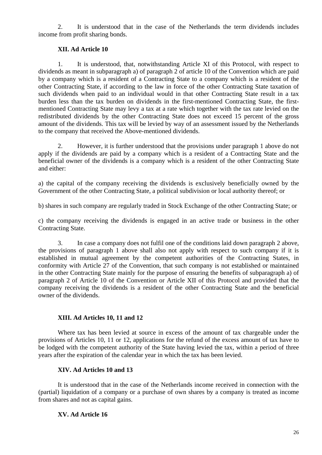2. It is understood that in the case of the Netherlands the term dividends includes income from profit sharing bonds.

#### **XII. Ad Article 10**

 1. It is understood, that, notwithstanding Article XI of this Protocol, with respect to dividends as meant in subparagraph a) of paragraph 2 of article 10 of the Convention which are paid by a company which is a resident of a Contracting State to a company which is a resident of the other Contracting State, if according to the law in force of the other Contracting State taxation of such dividends when paid to an individual would in that other Contracting State result in a tax burden less than the tax burden on dividends in the first-mentioned Contracting State, the firstmentioned Contracting State may levy a tax at a rate which together with the tax rate levied on the redistributed dividends by the other Contracting State does not exceed 15 percent of the gross amount of the dividends. This tax will be levied by way of an assessment issued by the Netherlands to the company that received the Above-mentioned dividends.

 2. However, it is further understood that the provisions under paragraph 1 above do not apply if the dividends are paid by a company which is a resident of a Contracting State and the beneficial owner of the dividends is a company which is a resident of the other Contracting State and either:

a) the capital of the company receiving the dividends is exclusively beneficially owned by the Government of the other Contracting State, a political subdivision or local authority thereof; or

b) shares in such company are regularly traded in Stock Exchange of the other Contracting State; or

c) the company receiving the dividends is engaged in an active trade or business in the other Contracting State.

 3. In case a company does not fulfil one of the conditions laid down paragraph 2 above, the provisions of paragraph 1 above shall also not apply with respect to such company if it is established in mutual agreement by the competent authorities of the Contracting States, in conformity with Article 27 of the Convention, that such company is not established or maintained in the other Contracting State mainly for the purpose of ensuring the benefits of subparagraph a) of paragraph 2 of Article 10 of the Convention or Article XII of this Protocol and provided that the company receiving the dividends is a resident of the other Contracting State and the beneficial owner of the dividends.

#### **XIII. Ad Articles 10, 11 and 12**

 Where tax has been levied at source in excess of the amount of tax chargeable under the provisions of Articles 10, 11 or 12, applications for the refund of the excess amount of tax have to be lodged with the competent authority of the State having levied the tax, within a period of three years after the expiration of the calendar year in which the tax has been levied.

#### **XIV. Ad Articles 10 and 13**

 It is understood that in the case of the Netherlands income received in connection with the (partial) liquidation of a company or a purchase of own shares by a company is treated as income from shares and not as capital gains.

#### **XV. Ad Article 16**